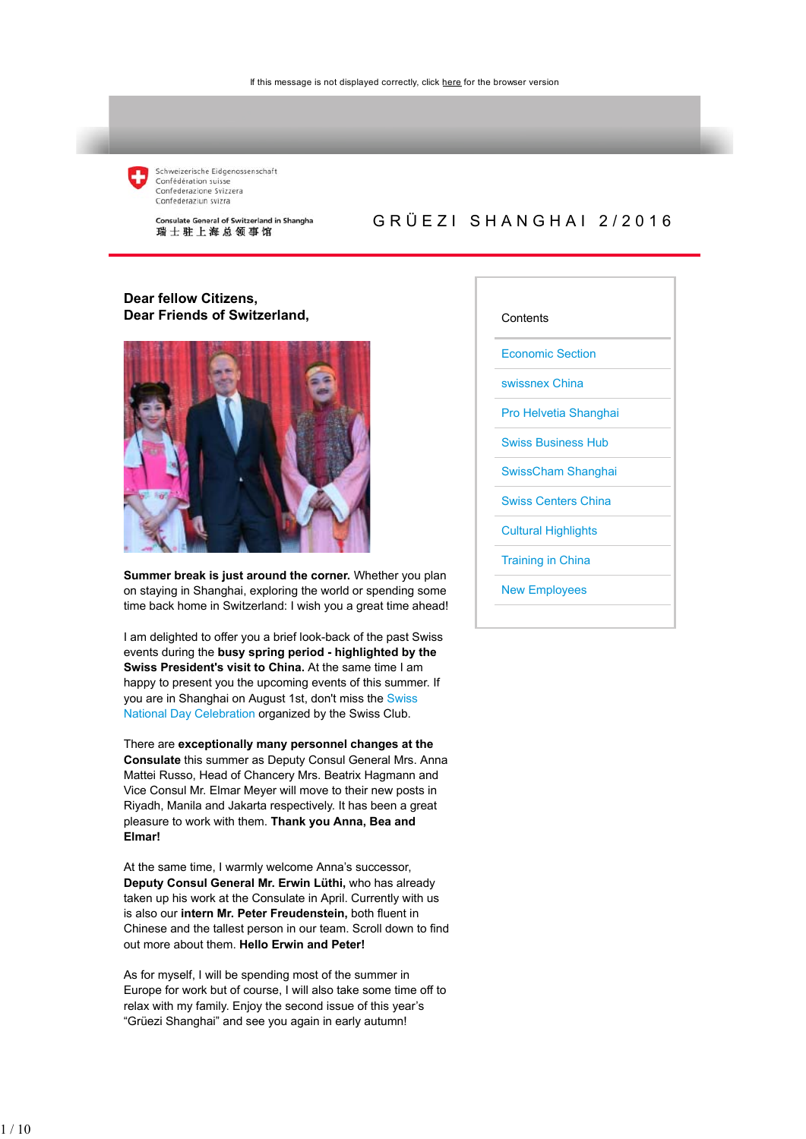

Schweizerische Eidgenossenschaft Confédération suisse<br>Confederazione Svizzera Confederaziun svizra

Consulate General of Switzerland in Shanghai 瑞士驻上海总领事馆

### GRÜEZI SHANGHAI 2/2016

#### **Dear fellow Citizens, Dear Friends of Switzerland,**



**Summer break is just around the corner.** Whether you plan on staying in Shanghai, exploring the world or spending some time back home in Switzerland: I wish you a great time ahead!

I am delighted to offer you a brief look-back of the past Swiss events during the **busy spring period - highlighted by the Swiss President's visit to China.** At the same time I am happy to present you the upcoming events of this summer. If you are in Shanghai on August 1st, don't miss the Swiss National Day Celebration organized by the Swiss Club.

There are **exceptionally many personnel changes at the Consulate** this summer as Deputy Consul General Mrs. Anna Mattei Russo, Head of Chancery Mrs. Beatrix Hagmann and Vice Consul Mr. Elmar Meyer will move to their new posts in Riyadh, Manila and Jakarta respectively. It has been a great pleasure to work with them. **Thank you Anna, Bea and Elmar!**

At the same time, I warmly welcome Anna's successor, **Deputy Consul General Mr. Erwin Lüthi,** who has already taken up his work at the Consulate in April. Currently with us is also our **intern Mr. Peter Freudenstein,** both fluent in Chinese and the tallest person in our team. Scroll down to find out more about them. **Hello Erwin and Peter!**

As for myself, I will be spending most of the summer in Europe for work but of course, I will also take some time off to relax with my family. Enjoy the second issue of this year's "Grüezi Shanghai" and see you again in early autumn!

#### **Contents**

Economic Section

swissnex China

Pro Helvetia Shanghai

Swiss Business Hub

SwissCham Shanghai

Swiss Centers China

Cultural Highlights

Training in China

New Employees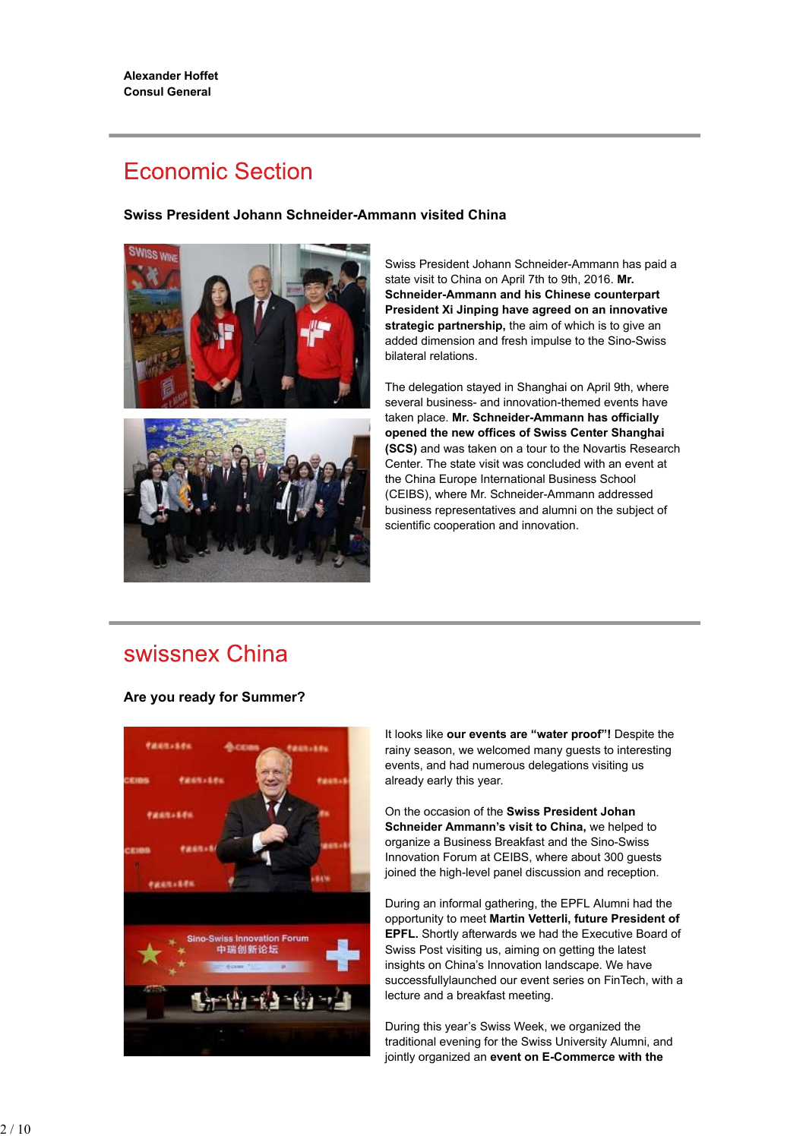# **Economic Section**

### **Swiss President Johann Schneider-Ammann visited China**





Swiss President Johann Schneider-Ammann has paid a state visit to China on April 7th to 9th, 2016. **Mr. Schneider-Ammann and his Chinese counterpart President Xi Jinping have agreed on an innovative strategic partnership,** the aim of which is to give an added dimension and fresh impulse to the Sino-Swiss bilateral relations.

The delegation stayed in Shanghai on April 9th, where several business- and innovation-themed events have taken place. **Mr. Schneider-Ammann has officially opened the new offices of Swiss Center Shanghai (SCS)** and was taken on a tour to the Novartis Research Center. The state visit was concluded with an event at the China Europe International Business School (CEIBS), where Mr. Schneider-Ammann addressed business representatives and alumni on the subject of scientific cooperation and innovation.

### swissnex China

### **Are you ready for Summer?**



It looks like **our events are "water proof"!** Despite the rainy season, we welcomed many guests to interesting events, and had numerous delegations visiting us already early this year.

On the occasion of the **Swiss President Johan Schneider Ammann's visit to China,** we helped to organize a Business Breakfast and the Sino-Swiss Innovation Forum at CEIBS, where about 300 guests joined the high-level panel discussion and reception.

During an informal gathering, the EPFL Alumni had the opportunity to meet **Martin Vetterli, future President of EPFL.** Shortly afterwards we had the Executive Board of Swiss Post visiting us, aiming on getting the latest insights on China's Innovation landscape. We have successfullylaunched our event series on FinTech, with a lecture and a breakfast meeting.

During this year's Swiss Week, we organized the traditional evening for the Swiss University Alumni, and jointly organized an **event on E-Commerce with the**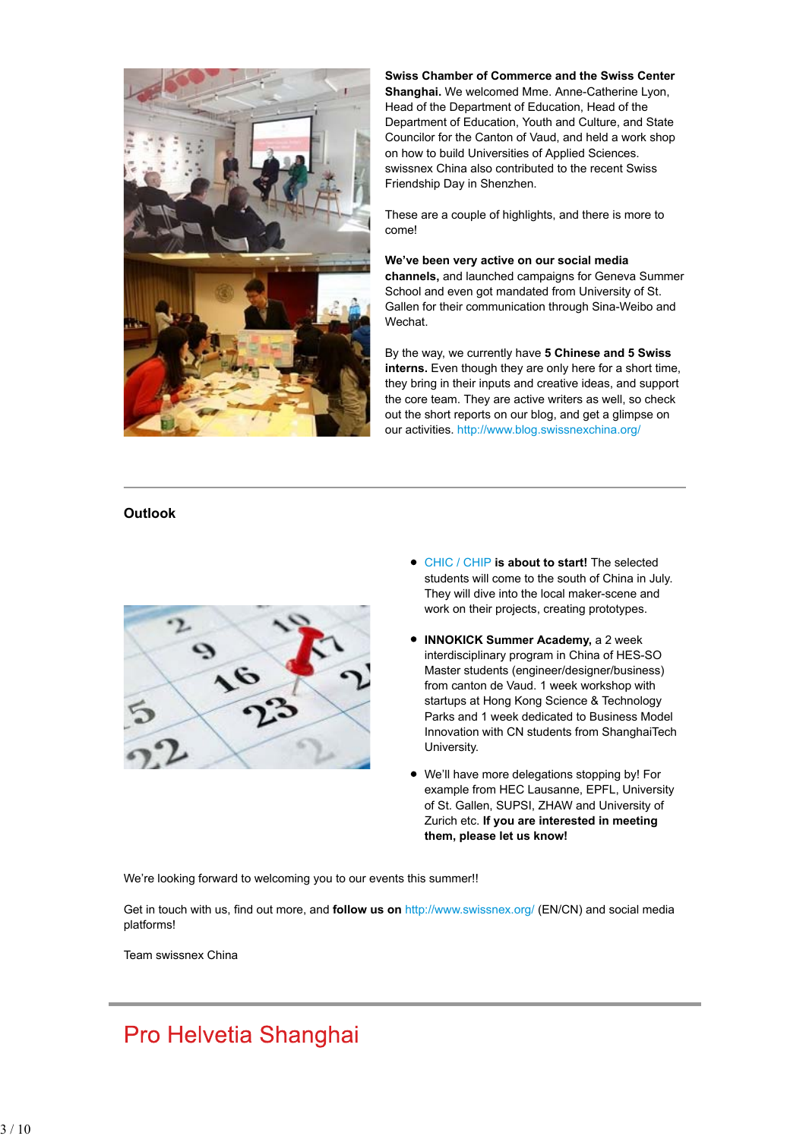

**Swiss Chamber of Commerce and the Swiss Center Shanghai.** We welcomed Mme. Anne-Catherine Lyon, Head of the Department of Education, Head of the Department of Education, Youth and Culture, and State Councilor for the Canton of Vaud, and held a work shop on how to build Universities of Applied Sciences. swissnex China also contributed to the recent Swiss Friendship Day in Shenzhen.

These are a couple of highlights, and there is more to come!

**We've been very active on our social media channels,** and launched campaigns for Geneva Summer School and even got mandated from University of St. Gallen for their communication through Sina-Weibo and Wechat.

By the way, we currently have **5 Chinese and 5 Swiss interns.** Even though they are only here for a short time, they bring in their inputs and creative ideas, and support the core team. They are active writers as well, so check out the short reports on our blog, and get a glimpse on our activities. http://www.blog.swissnexchina.org/

### **Outlook**



- CHIC / CHIP **is about to start!** The selected students will come to the south of China in July. They will dive into the local maker-scene and work on their projects, creating prototypes.
- **INNOKICK Summer Academy,** a 2 week interdisciplinary program in China of HES-SO Master students (engineer/designer/business) from canton de Vaud. 1 week workshop with startups at Hong Kong Science & Technology Parks and 1 week dedicated to Business Model Innovation with CN students from ShanghaiTech University.
- We'll have more delegations stopping by! For example from HEC Lausanne, EPFL, University of St. Gallen, SUPSI, ZHAW and University of Zurich etc. **If you are interested in meeting them, please let us know!**

We're looking forward to welcoming you to our events this summer!!

Get in touch with us, find out more, and **follow us on** http://www.swissnex.org/ (EN/CN) and social media platforms!

Team swissnex China

# Pro Helvetia Shanghai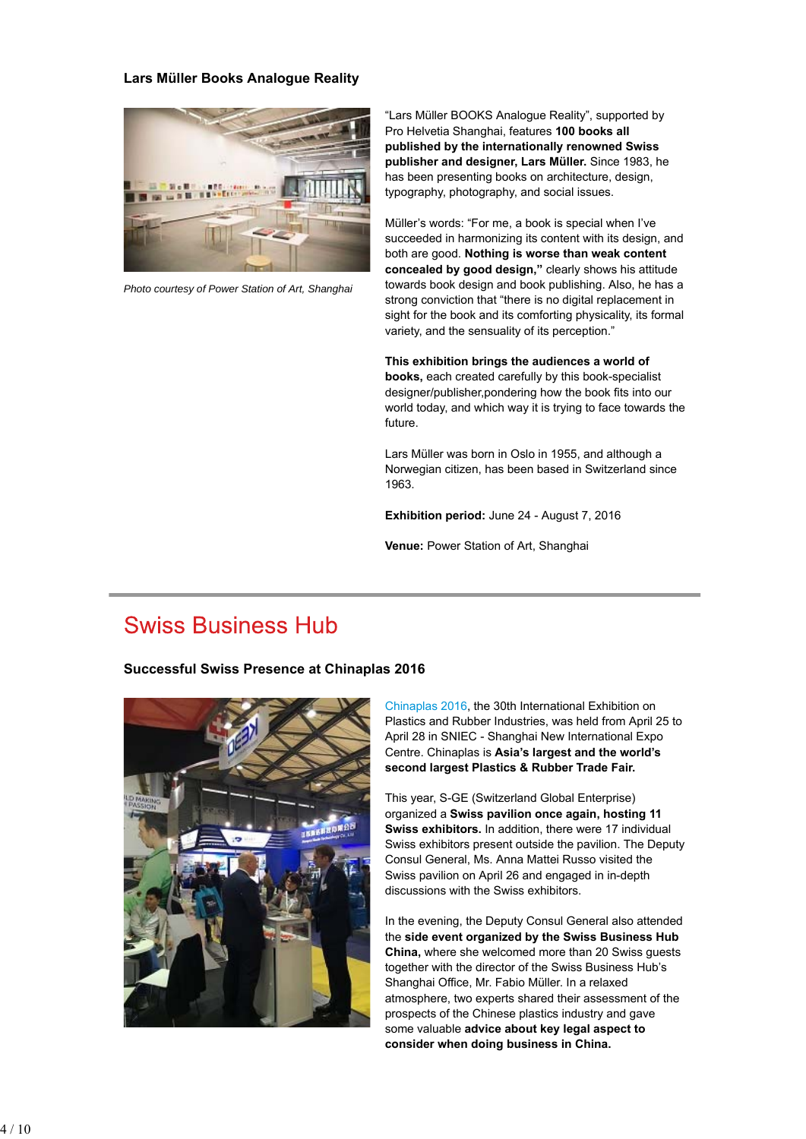#### **Lars Müller Books Analogue Reality**



*Photo courtesy of Power Station of Art, Shanghai*

"Lars Müller BOOKS Analogue Reality", supported by Pro Helvetia Shanghai, features **100 books all published by the internationally renowned Swiss publisher and designer, Lars Müller.** Since 1983, he has been presenting books on architecture, design, typography, photography, and social issues.

Müller's words: "For me, a book is special when I've succeeded in harmonizing its content with its design, and both are good. **Nothing is worse than weak content concealed by good design,"** clearly shows his attitude towards book design and book publishing. Also, he has a strong conviction that "there is no digital replacement in sight for the book and its comforting physicality, its formal variety, and the sensuality of its perception."

**This exhibition brings the audiences a world of books,** each created carefully by this book-specialist designer/publisher,pondering how the book fits into our world today, and which way it is trying to face towards the future.

Lars Müller was born in Oslo in 1955, and although a Norwegian citizen, has been based in Switzerland since 1963.

**Exhibition period:** June 24 - August 7, 2016

**Venue:** Power Station of Art, Shanghai

### **Swiss Business Hub**

#### **Successful Swiss Presence at Chinaplas 2016**



Chinaplas 2016, the 30th International Exhibition on Plastics and Rubber Industries, was held from April 25 to April 28 in SNIEC - Shanghai New International Expo Centre. Chinaplas is **Asia's largest and the world's second largest Plastics & Rubber Trade Fair.**

This year, S-GE (Switzerland Global Enterprise) organized a **Swiss pavilion once again, hosting 11 Swiss exhibitors.** In addition, there were 17 individual Swiss exhibitors present outside the pavilion. The Deputy Consul General, Ms. Anna Mattei Russo visited the Swiss pavilion on April 26 and engaged in in-depth discussions with the Swiss exhibitors.

In the evening, the Deputy Consul General also attended the **side event organized by the Swiss Business Hub China,** where she welcomed more than 20 Swiss guests together with the director of the Swiss Business Hub's Shanghai Office, Mr. Fabio Müller. In a relaxed atmosphere, two experts shared their assessment of the prospects of the Chinese plastics industry and gave some valuable **advice about key legal aspect to consider when doing business in China.**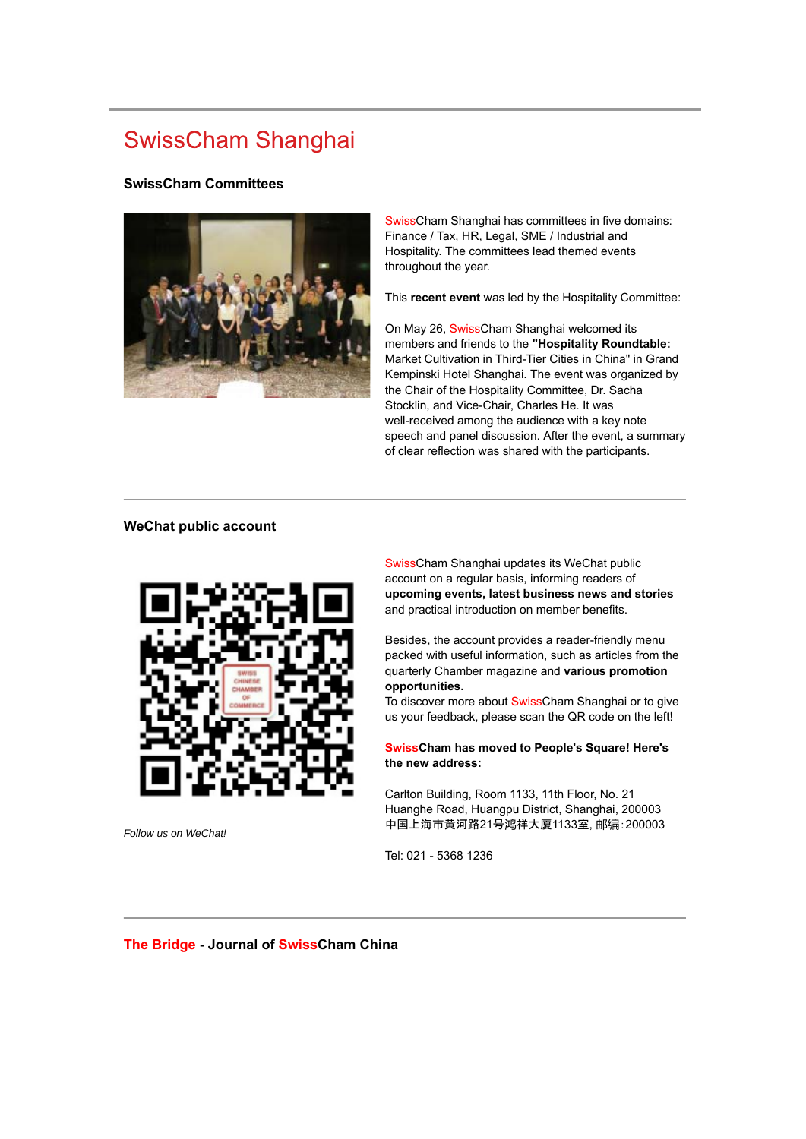# **SwissCham Shanghai**

#### **SwissCham Committees**



SwissCham Shanghai has committees in five domains: Finance / Tax, HR, Legal, SME / Industrial and Hospitality. The committees lead themed events throughout the year.

This **recent event** was led by the Hospitality Committee:

On May 26, SwissCham Shanghai welcomed its members and friends to the **"Hospitality Roundtable:** Market Cultivation in Third-Tier Cities in China" in Grand Kempinski Hotel Shanghai. The event was organized by the Chair of the Hospitality Committee, Dr. Sacha Stocklin, and Vice-Chair, Charles He. It was well-received among the audience with a key note speech and panel discussion. After the event, a summary of clear reflection was shared with the participants.

### **WeChat public account**



*Follow us on WeChat!*

SwissCham Shanghai updates its WeChat public account on a regular basis, informing readers of **upcoming events, latest business news and stories** and practical introduction on member benefits.

Besides, the account provides a reader-friendly menu packed with useful information, such as articles from the quarterly Chamber magazine and **various promotion opportunities.**

To discover more about SwissCham Shanghai or to give us your feedback, please scan the QR code on the left!

**SwissCham has moved to People's Square! Here's the new address:**

Carlton Building, Room 1133, 11th Floor, No. 21 Huanghe Road, Huangpu District, Shanghai, 200003 中国上海市黄河路21号鸿祥大厦1133室, 邮编:200003

Tel: 021 - 5368 1236

**The Bridge - Journal of SwissCham China**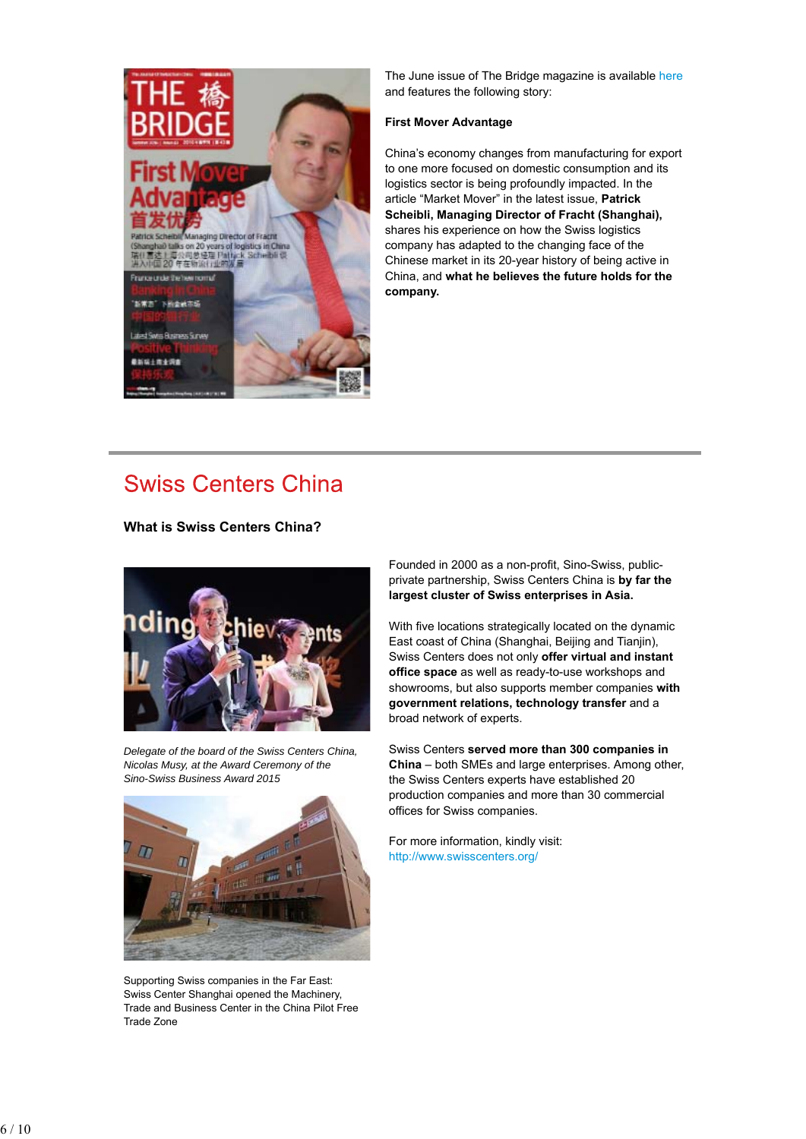

The June issue of The Bridge magazine is available here and features the following story:

#### **First Mover Advantage**

China's economy changes from manufacturing for export to one more focused on domestic consumption and its logistics sector is being profoundly impacted. In the article "Market Mover" in the latest issue, **Patrick Scheibli, Managing Director of Fracht (Shanghai),** shares his experience on how the Swiss logistics company has adapted to the changing face of the Chinese market in its 20-year history of being active in China, and **what he believes the future holds for the company.**

### **Swiss Centers China**

**What is Swiss Centers China?**



*Delegate of the board of the Swiss Centers China, Nicolas Musy, at the Award Ceremony of the Sino-Swiss Business Award 2015*



Supporting Swiss companies in the Far East: Swiss Center Shanghai opened the Machinery, Trade and Business Center in the China Pilot Free Trade Zone

Founded in 2000 as a non-profit, Sino-Swiss, publicprivate partnership, Swiss Centers China is **by far the largest cluster of Swiss enterprises in Asia.**

With five locations strategically located on the dynamic East coast of China (Shanghai, Beijing and Tianjin), Swiss Centers does not only **offer virtual and instant office space** as well as ready-to-use workshops and showrooms, but also supports member companies **with government relations, technology transfer** and a broad network of experts.

Swiss Centers **served more than 300 companies in China** – both SMEs and large enterprises. Among other, the Swiss Centers experts have established 20 production companies and more than 30 commercial offices for Swiss companies.

For more information, kindly visit: http://www.swisscenters.org/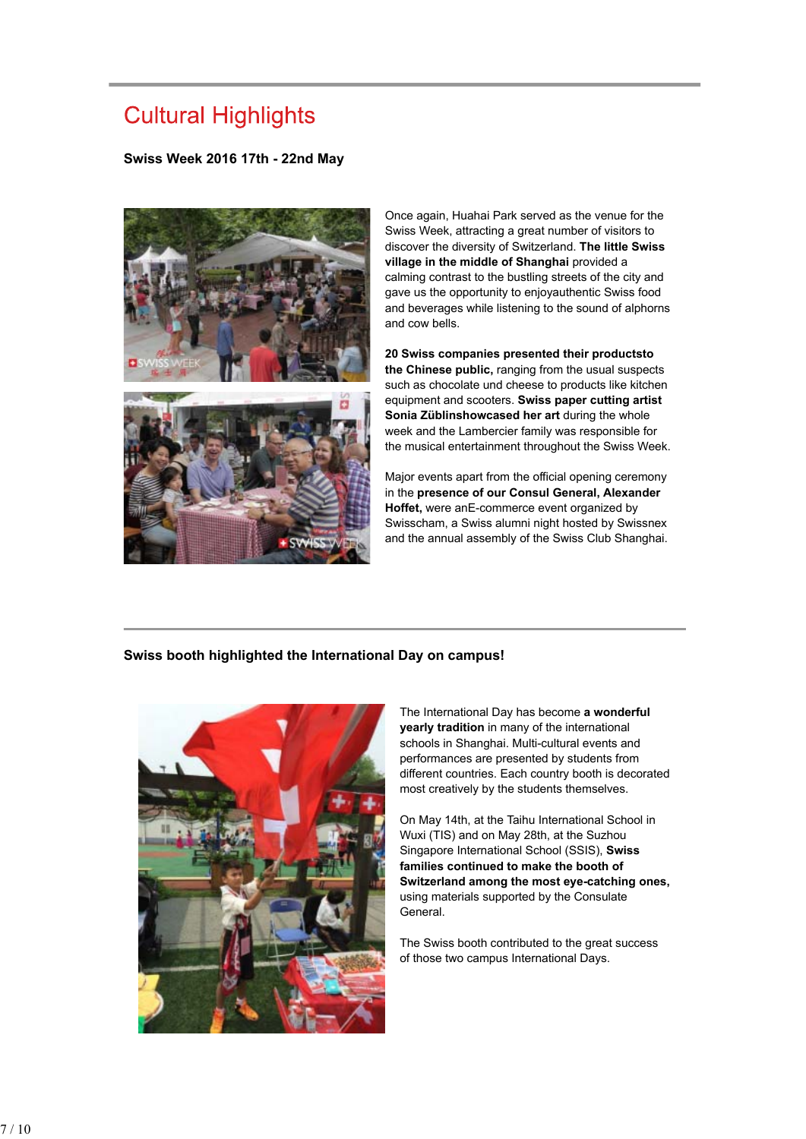# **Cultural Highlights**

#### **Swiss Week 2016 17th - 22nd May**



Once again, Huahai Park served as the venue for the Swiss Week, attracting a great number of visitors to discover the diversity of Switzerland. **The little Swiss village in the middle of Shanghai** provided a calming contrast to the bustling streets of the city and gave us the opportunity to enjoyauthentic Swiss food and beverages while listening to the sound of alphorns and cow bells.

**20 Swiss companies presented their productsto the Chinese public,** ranging from the usual suspects such as chocolate und cheese to products like kitchen equipment and scooters. **Swiss paper cutting artist Sonia Züblinshowcased her art** during the whole week and the Lambercier family was responsible for the musical entertainment throughout the Swiss Week.

Major events apart from the official opening ceremony in the **presence of our Consul General, Alexander Hoffet,** were anE-commerce event organized by Swisscham, a Swiss alumni night hosted by Swissnex and the annual assembly of the Swiss Club Shanghai.

#### **Swiss booth highlighted the International Day on campus!**



The International Day has become **a wonderful yearly tradition** in many of the international schools in Shanghai. Multi-cultural events and performances are presented by students from different countries. Each country booth is decorated most creatively by the students themselves.

On May 14th, at the Taihu International School in Wuxi (TIS) and on May 28th, at the Suzhou Singapore International School (SSIS), **Swiss families continued to make the booth of Switzerland among the most eye-catching ones,** using materials supported by the Consulate General.

The Swiss booth contributed to the great success of those two campus International Days.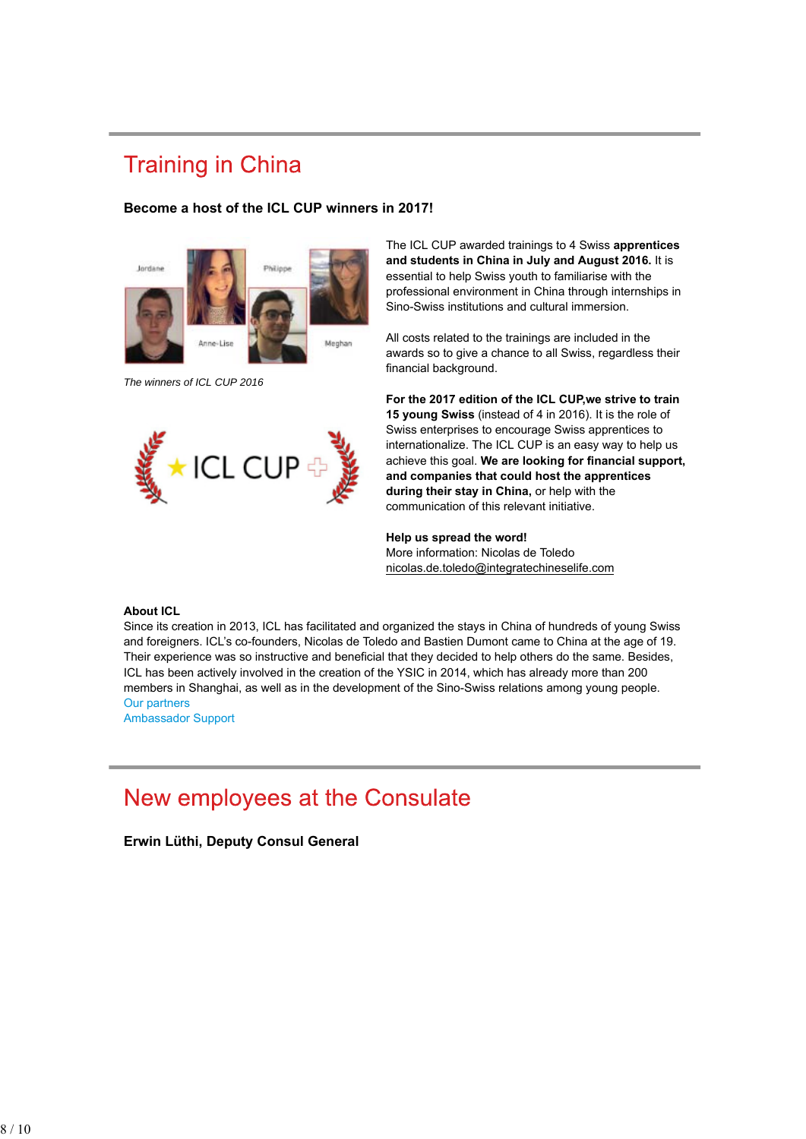# **Training in China**

#### **Become a host of the ICL CUP winners in 2017!**



*The winners of ICL CUP 2016*



The ICL CUP awarded trainings to 4 Swiss **apprentices and students in China in July and August 2016.** It is essential to help Swiss youth to familiarise with the professional environment in China through internships in Sino-Swiss institutions and cultural immersion.

All costs related to the trainings are included in the awards so to give a chance to all Swiss, regardless their financial background.

**For the 2017 edition of the ICL CUP,we strive to train 15 young Swiss** (instead of 4 in 2016). It is the role of Swiss enterprises to encourage Swiss apprentices to internationalize. The ICL CUP is an easy way to help us achieve this goal. **We are looking for financial support, and companies that could host the apprentices during their stay in China,** or help with the communication of this relevant initiative.

**Help us spread the word!** More information: Nicolas de Toledo nicolas.de.toledo@integratechineselife.com

#### **About ICL**

Since its creation in 2013, ICL has facilitated and organized the stays in China of hundreds of young Swiss and foreigners. ICL's co-founders, Nicolas de Toledo and Bastien Dumont came to China at the age of 19. Their experience was so instructive and beneficial that they decided to help others do the same. Besides, ICL has been actively involved in the creation of the YSIC in 2014, which has already more than 200 members in Shanghai, as well as in the development of the Sino-Swiss relations among young people. Our partners

Ambassador Support

### New employees at the Consulate

**Erwin Lüthi, Deputy Consul General**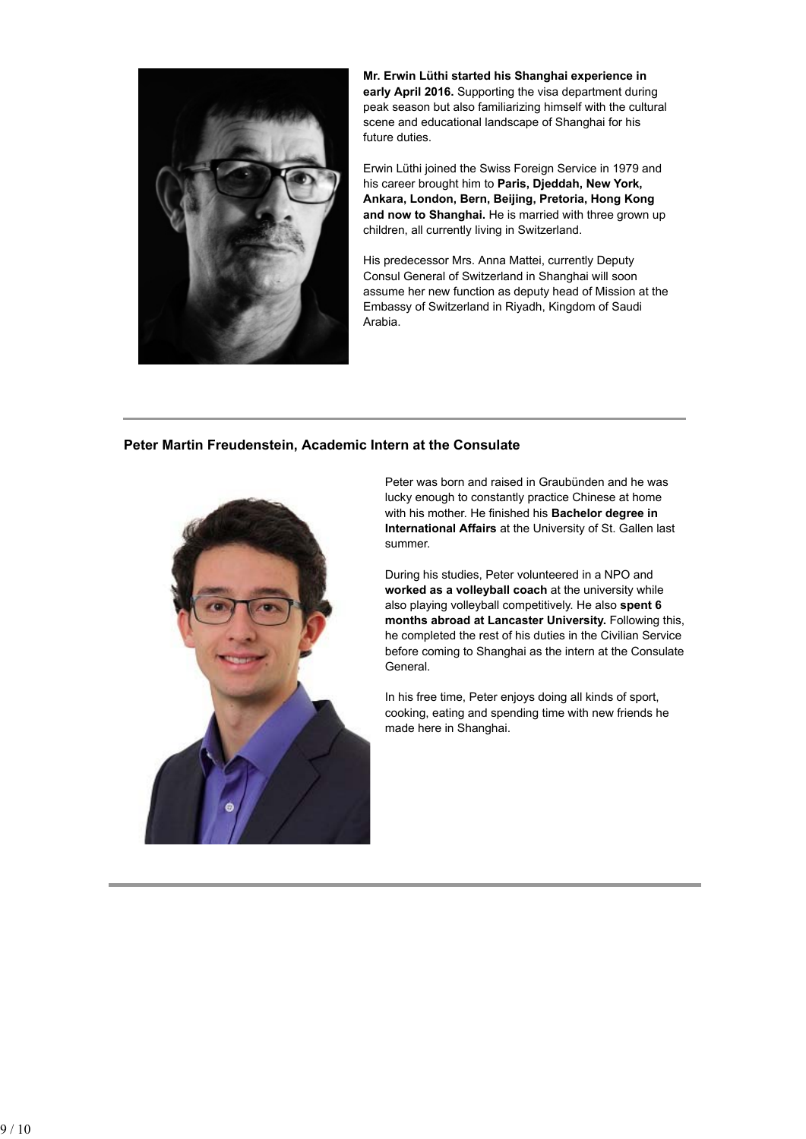

**Mr. Erwin Lüthi started his Shanghai experience in early April 2016.** Supporting the visa department during peak season but also familiarizing himself with the cultural scene and educational landscape of Shanghai for his future duties.

Erwin Lüthi joined the Swiss Foreign Service in 1979 and his career brought him to **Paris, Djeddah, New York, Ankara, London, Bern, Beijing, Pretoria, Hong Kong and now to Shanghai.** He is married with three grown up children, all currently living in Switzerland.

His predecessor Mrs. Anna Mattei, currently Deputy Consul General of Switzerland in Shanghai will soon assume her new function as deputy head of Mission at the Embassy of Switzerland in Riyadh, Kingdom of Saudi Arabia.

#### **Peter Martin Freudenstein, Academic Intern at the Consulate**



Peter was born and raised in Graubünden and he was lucky enough to constantly practice Chinese at home with his mother. He finished his **Bachelor degree in International Affairs** at the University of St. Gallen last summer.

During his studies, Peter volunteered in a NPO and **worked as a volleyball coach** at the university while also playing volleyball competitively. He also **spent 6 months abroad at Lancaster University.** Following this, he completed the rest of his duties in the Civilian Service before coming to Shanghai as the intern at the Consulate General.

In his free time, Peter enjoys doing all kinds of sport, cooking, eating and spending time with new friends he made here in Shanghai.